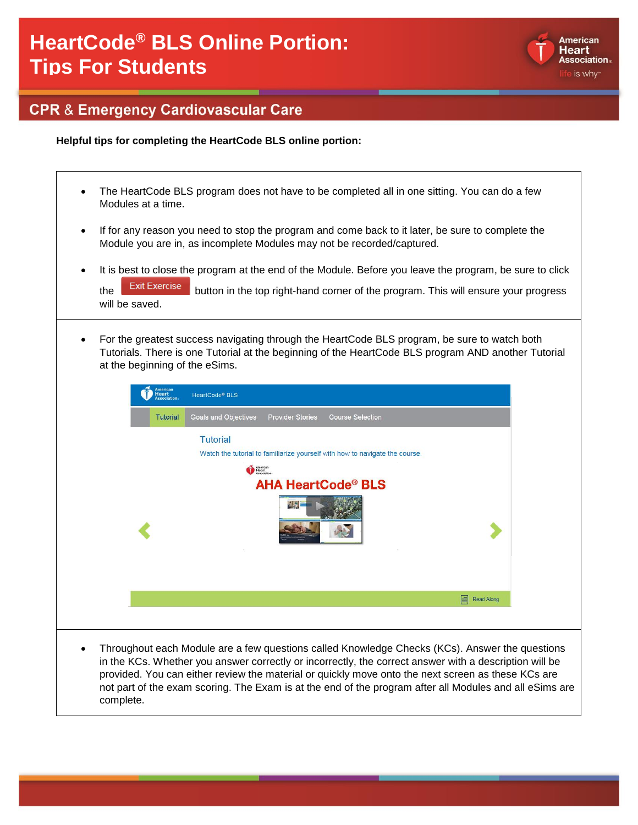

#### **CPR & Emergency Cardiovascular Care**

**Helpful tips for completing the HeartCode BLS online portion:**

- The HeartCode BLS program does not have to be completed all in one sitting. You can do a few Modules at a time.
- If for any reason you need to stop the program and come back to it later, be sure to complete the Module you are in, as incomplete Modules may not be recorded/captured.
- It is best to close the program at the end of the Module. Before you leave the program, be sure to click

the Exit Exercise button in the top right-hand corner of the program. This will ensure your progress will be saved.

• For the greatest success navigating through the HeartCode BLS program, be sure to watch both Tutorials. There is one Tutorial at the beginning of the HeartCode BLS program AND another Tutorial at the beginning of the eSims.

| Tutorial | Goals and Objectives<br><b>Provider Stories</b><br><b>Course Selection</b>  |
|----------|-----------------------------------------------------------------------------|
|          | <b>Tutorial</b>                                                             |
|          | Watch the tutorial to familiarize yourself with how to navigate the course. |
|          | American<br>Beart                                                           |
|          | <b>AHA HeartCode® BLS</b>                                                   |
|          | ALC.                                                                        |
|          | Read Along                                                                  |
|          |                                                                             |

in the KCs. Whether you answer correctly or incorrectly, the correct answer with a description will be provided. You can either review the material or quickly move onto the next screen as these KCs are not part of the exam scoring. The Exam is at the end of the program after all Modules and all eSims are complete.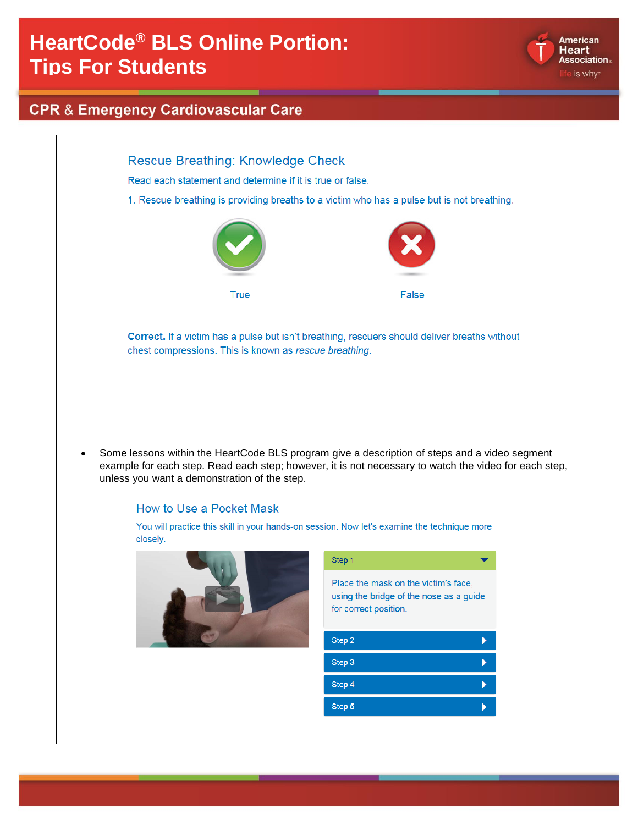

### **CPR & Emergency Cardiovascular Care**

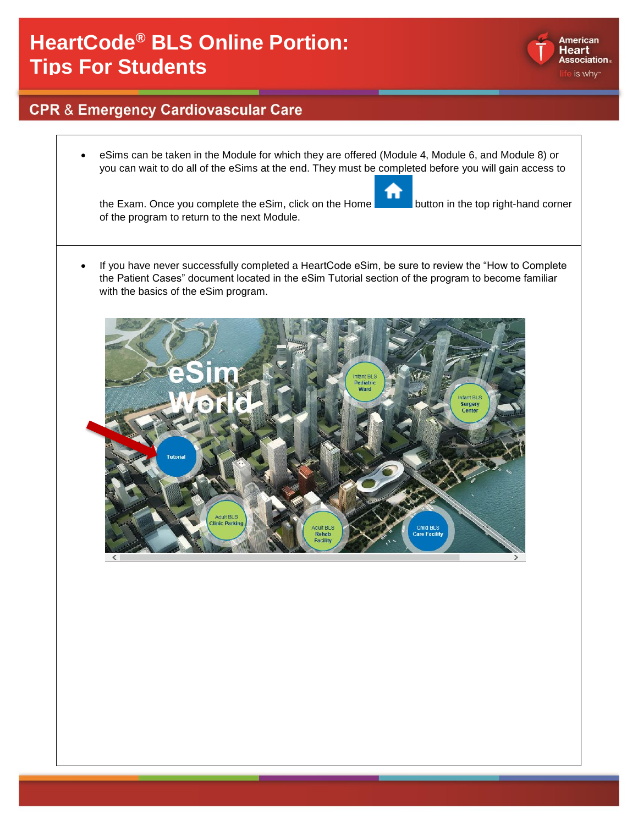#### **CPR & Emergency Cardiovascular Care**

• eSims can be taken in the Module for which they are offered (Module 4, Module 6, and Module 8) or you can wait to do all of the eSims at the end. They must be completed before you will gain access to

the Exam. Once you complete the eSim, click on the Home button in the top right-hand corner of the program to return to the next Module.

• If you have never successfully completed a HeartCode eSim, be sure to review the "How to Complete the Patient Cases" document located in the eSim Tutorial section of the program to become familiar with the basics of the eSim program.





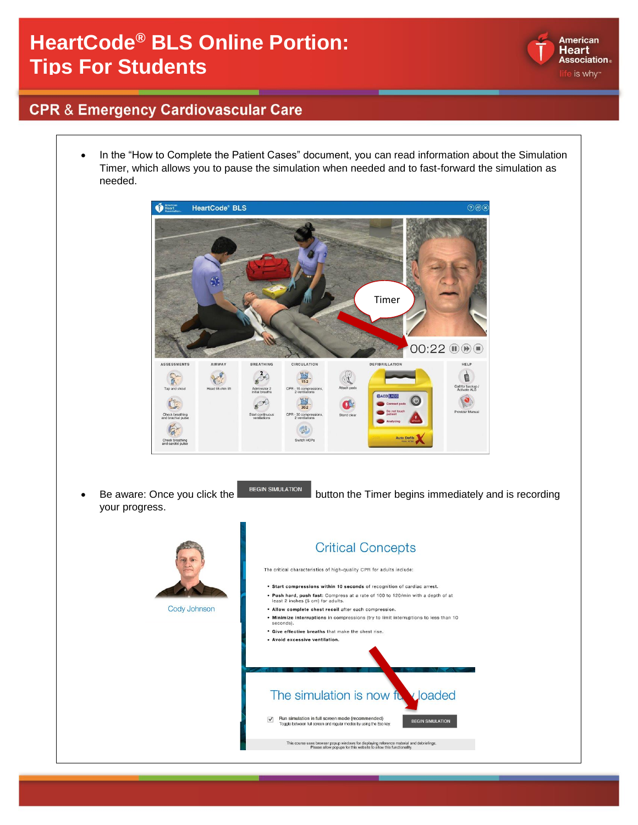

#### **CPR & Emergency Cardiovascular Care**

• In the "How to Complete the Patient Cases" document, you can read information about the Simulation Timer, which allows you to pause the simulation when needed and to fast-forward the simulation as needed.

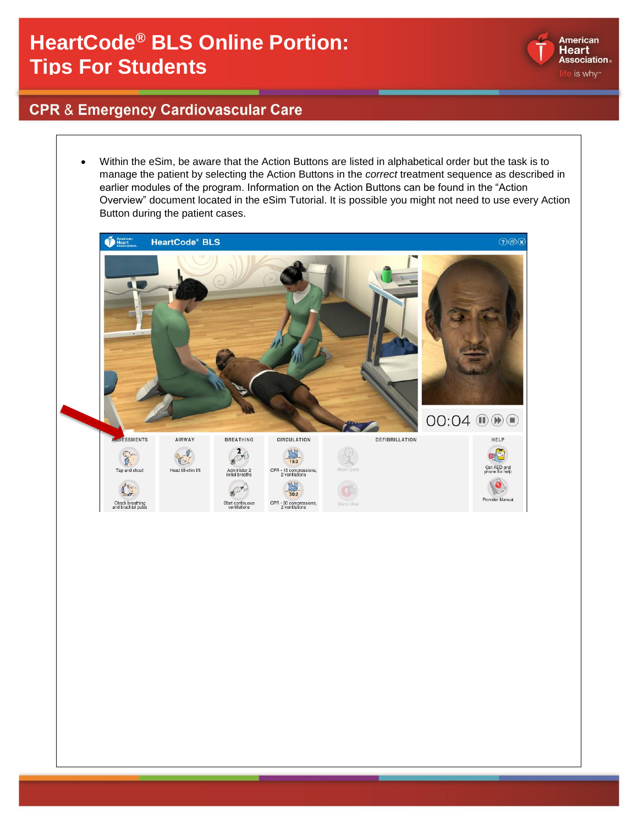

### **CPR & Emergency Cardiovascular Care**

• Within the eSim, be aware that the Action Buttons are listed in alphabetical order but the task is to manage the patient by selecting the Action Buttons in the *correct* treatment sequence as described in earlier modules of the program. Information on the Action Buttons can be found in the "Action Overview" document located in the eSim Tutorial. It is possible you might not need to use every Action Button during the patient cases.American<br>
Heart **HeartCode® BLS**  $\odot$  $OO:OA$   $\textcircled{10}$   $\odot$ SSMENTS AIRWAY **BREATHING** CIRCULATION DEFIBRILLATION HELP  $\rightarrow$ Prof 鼻  $\mathbb{C}$ F Get AED and<br>phone for help Tap and shou CPR - 15 compressions<br>2 ventilations Administer 2<br>initial breath P  $\mathbf r$ Provider Manual Check breathing<br>and brachial pulse Start continuo CPR - 30 compressions<br>2 ventilations